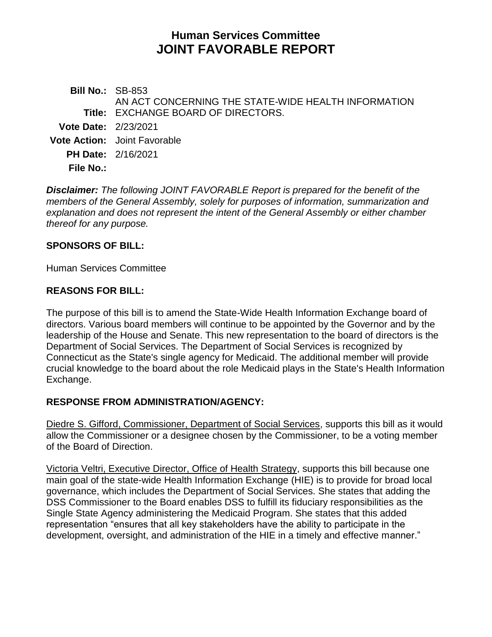# **Human Services Committee JOINT FAVORABLE REPORT**

**Bill No.:** SB-853 **Title:** EXCHANGE BOARD OF DIRECTORS. AN ACT CONCERNING THE STATE-WIDE HEALTH INFORMATION **Vote Date:** 2/23/2021 **Vote Action:** Joint Favorable **PH Date:** 2/16/2021 **File No.:**

*Disclaimer: The following JOINT FAVORABLE Report is prepared for the benefit of the members of the General Assembly, solely for purposes of information, summarization and explanation and does not represent the intent of the General Assembly or either chamber thereof for any purpose.*

#### **SPONSORS OF BILL:**

Human Services Committee

#### **REASONS FOR BILL:**

The purpose of this bill is to amend the State-Wide Health Information Exchange board of directors. Various board members will continue to be appointed by the Governor and by the leadership of the House and Senate. This new representation to the board of directors is the Department of Social Services. The Department of Social Services is recognized by Connecticut as the State's single agency for Medicaid. The additional member will provide crucial knowledge to the board about the role Medicaid plays in the State's Health Information Exchange.

#### **RESPONSE FROM ADMINISTRATION/AGENCY:**

Diedre S. Gifford, Commissioner, Department of Social Services, supports this bill as it would allow the Commissioner or a designee chosen by the Commissioner, to be a voting member of the Board of Direction.

Victoria Veltri, Executive Director, Office of Health Strategy, supports this bill because one main goal of the state-wide Health Information Exchange (HIE) is to provide for broad local governance, which includes the Department of Social Services. She states that adding the DSS Commissioner to the Board enables DSS to fulfill its fiduciary responsibilities as the Single State Agency administering the Medicaid Program. She states that this added representation "ensures that all key stakeholders have the ability to participate in the development, oversight, and administration of the HIE in a timely and effective manner."